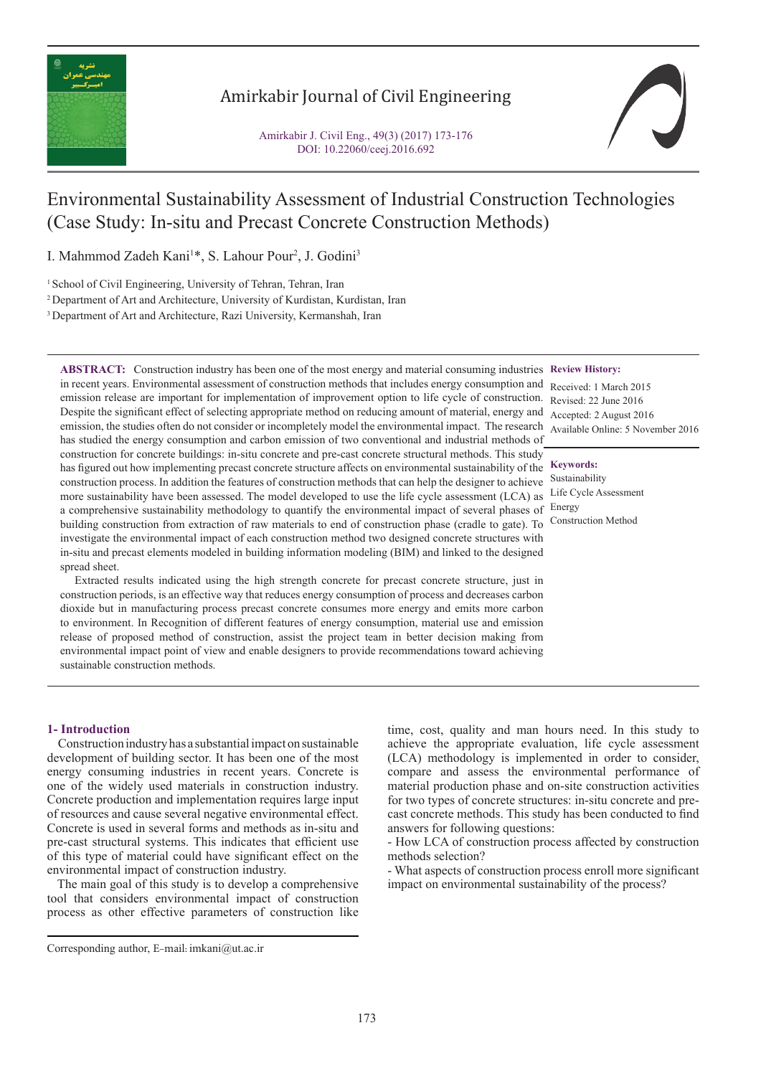

## Amirkabir Journal of Civil Engineering

Amirkabir J. Civil Eng., 49(3) (2017) 173-176 DOI: 10.22060/ceej.2016.692



# Environmental Sustainability Assessment of Industrial Construction Technologies (Case Study: In-situ and Precast Concrete Construction Methods)

I. Mahmmod Zadeh Kani<sup>1\*</sup>, S. Lahour Pour<sup>2</sup>, J. Godini<sup>3</sup>

<sup>1</sup> School of Civil Engineering, University of Tehran, Tehran, Iran

2 Department of Art and Architecture, University of Kurdistan, Kurdistan, Iran

3 Department of Art and Architecture, Razi University, Kermanshah, Iran

**ABSTRACT:** Construction industry has been one of the most energy and material consuming industries **Review History:** in recent years. Environmental assessment of construction methods that includes energy consumption and emission release are important for implementation of improvement option to life cycle of construction. Revised: 22 June 2016 Despite the significant effect of selecting appropriate method on reducing amount of material, energy and Accepted: 2 August 2016 emission, the studies often do not consider or incompletely model the environmental impact. The research has studied the energy consumption and carbon emission of two conventional and industrial methods of construction for concrete buildings: in-situ concrete and pre-cast concrete structural methods. This study has figured out how implementing precast concrete structure affects on environmental sustainability of the construction process. In addition the features of construction methods that can help the designer to achieve Sustainability more sustainability have been assessed. The model developed to use the life cycle assessment (LCA) as Life Cycle Assessment a comprehensive sustainability methodology to quantify the environmental impact of several phases of Energy building construction from extraction of raw materials to end of construction phase (cradle to gate). To Construction Method investigate the environmental impact of each construction method two designed concrete structures with in-situ and precast elements modeled in building information modeling (BIM) and linked to the designed spread sheet.

 Extracted results indicated using the high strength concrete for precast concrete structure, just in construction periods, is an effective way that reduces energy consumption of process and decreases carbon dioxide but in manufacturing process precast concrete consumes more energy and emits more carbon to environment. In Recognition of different features of energy consumption, material use and emission release of proposed method of construction, assist the project team in better decision making from environmental impact point of view and enable designers to provide recommendations toward achieving sustainable construction methods.

Received: 1 March 2015 Available Online: 5 November 2016

#### **Keywords:**

### **1- Introduction**

 Construction industry has a substantial impact on sustainable development of building sector. It has been one of the most energy consuming industries in recent years. Concrete is one of the widely used materials in construction industry. Concrete production and implementation requires large input of resources and cause several negative environmental effect. Concrete is used in several forms and methods as in-situ and pre-cast structural systems. This indicates that efficient use of this type of material could have significant effect on the environmental impact of construction industry.

 The main goal of this study is to develop a comprehensive tool that considers environmental impact of construction process as other effective parameters of construction like time, cost, quality and man hours need. In this study to achieve the appropriate evaluation, life cycle assessment (LCA) methodology is implemented in order to consider, compare and assess the environmental performance of material production phase and on-site construction activities for two types of concrete structures: in-situ concrete and precast concrete methods. This study has been conducted to find answers for following questions:

- How LCA of construction process affected by construction methods selection?

- What aspects of construction process enroll more significant impact on environmental sustainability of the process?

Corresponding author, E-mail: imkani@ut.ac.ir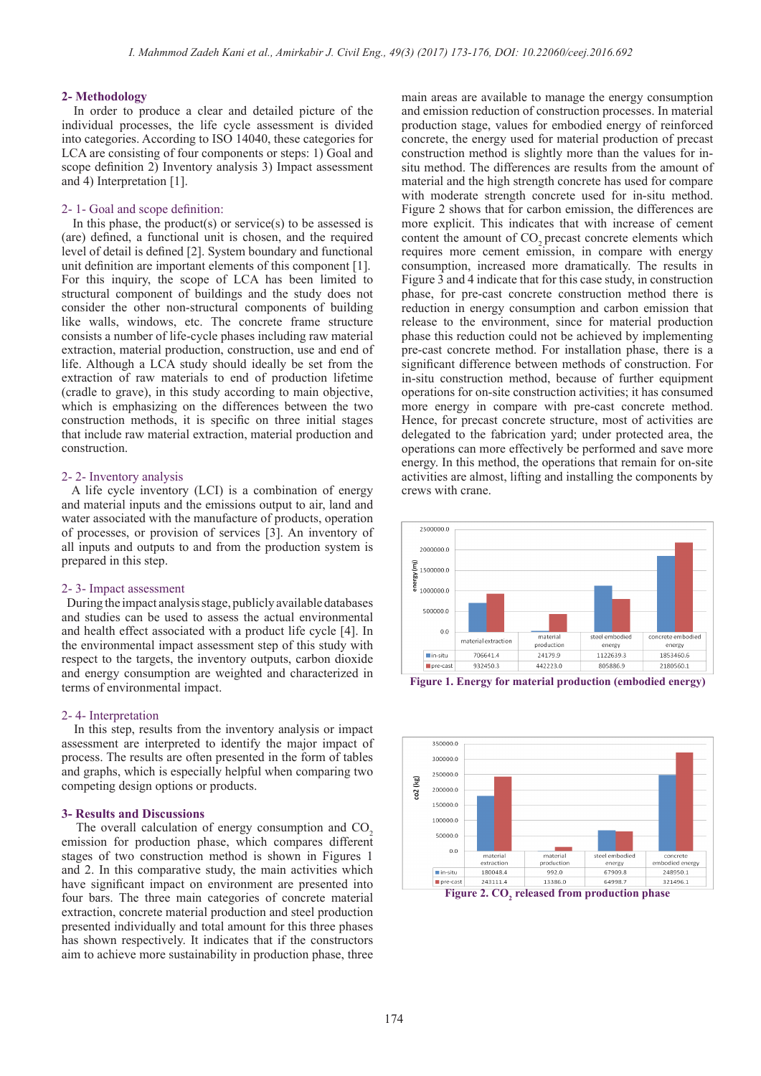#### **2- Methodology**

 In order to produce a clear and detailed picture of the individual processes, the life cycle assessment is divided into categories. According to ISO 14040, these categories for LCA are consisting of four components or steps: 1) Goal and scope definition 2) Inventory analysis 3) Impact assessment and 4) Interpretation [1].

#### 2- 1- Goal and scope definition:

In this phase, the product(s) or service(s) to be assessed is (are) defined, a functional unit is chosen, and the required level of detail is defined [2]. System boundary and functional unit definition are important elements of this component [1]. For this inquiry, the scope of LCA has been limited to structural component of buildings and the study does not consider the other non-structural components of building like walls, windows, etc. The concrete frame structure consists a number of life-cycle phases including raw material extraction, material production, construction, use and end of life. Although a LCA study should ideally be set from the extraction of raw materials to end of production lifetime (cradle to grave), in this study according to main objective, which is emphasizing on the differences between the two construction methods, it is specific on three initial stages that include raw material extraction, material production and construction.

#### 2- 2- Inventory analysis

 A life cycle inventory (LCI) is a combination of energy and material inputs and the emissions output to air, land and water associated with the manufacture of products, operation of processes, or provision of services [3]. An inventory of all inputs and outputs to and from the production system is prepared in this step.

#### 2- 3- Impact assessment

 During the impact analysis stage, publicly available databases and studies can be used to assess the actual environmental and health effect associated with a product life cycle [4]. In the environmental impact assessment step of this study with respect to the targets, the inventory outputs, carbon dioxide and energy consumption are weighted and characterized in terms of environmental impact.

#### 2- 4- Interpretation

 In this step, results from the inventory analysis or impact assessment are interpreted to identify the major impact of process. The results are often presented in the form of tables and graphs, which is especially helpful when comparing two competing design options or products.

#### **3- Results and Discussions**

The overall calculation of energy consumption and CO<sub>2</sub> emission for production phase, which compares different stages of two construction method is shown in Figures 1 and 2. In this comparative study, the main activities which have significant impact on environment are presented into four bars. The three main categories of concrete material extraction, concrete material production and steel production presented individually and total amount for this three phases has shown respectively. It indicates that if the constructors aim to achieve more sustainability in production phase, three

main areas are available to manage the energy consumption and emission reduction of construction processes. In material production stage, values for embodied energy of reinforced concrete, the energy used for material production of precast construction method is slightly more than the values for insitu method. The differences are results from the amount of material and the high strength concrete has used for compare with moderate strength concrete used for in-situ method. Figure 2 shows that for carbon emission, the differences are more explicit. This indicates that with increase of cement content the amount of CO<sub>2</sub> precast concrete elements which requires more cement emission, in compare with energy consumption, increased more dramatically. The results in Figure 3 and 4 indicate that for this case study, in construction phase, for pre-cast concrete construction method there is reduction in energy consumption and carbon emission that release to the environment, since for material production phase this reduction could not be achieved by implementing pre-cast concrete method. For installation phase, there is a significant difference between methods of construction. For in-situ construction method, because of further equipment operations for on-site construction activities; it has consumed more energy in compare with pre-cast concrete method. Hence, for precast concrete structure, most of activities are delegated to the fabrication yard; under protected area, the operations can more effectively be performed and save more energy. In this method, the operations that remain for on-site activities are almost, lifting and installing the components by crews with crane.



**Figure 1. Energy for material production (embodied energy)**